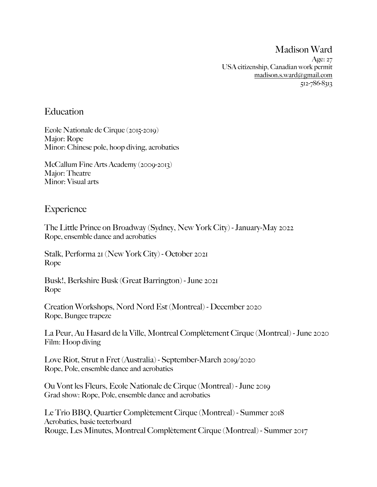Madison Ward

Age: 27 USA citizenship, Canadian work permit [madison.s.ward@gmail.com](mailto:madison.s.ward@gmail.com) 512-786-8313

## **Education**

Ecole Nationale de Cirque (2015-2019) Major: Rope Minor: Chinese pole, hoop diving, acrobatics

McCallum Fine Arts Academy (2009-2013) Major: Theatre Minor: Visual arts

## **Experience**

The Little Prince on Broadway (Sydney, New York City) - January-May 2022 Rope, ensemble dance and acrobatics

Stalk, Performa 21 (New York City) - October 2021 Rope

Busk!, Berkshire Busk (Great Barrington) - June 2021 Rope

Creation Workshops, Nord Nord Est (Montreal) - December 2020 Rope, Bungee trapeze

La Peur, Au Hasard de la Ville, Montreal Complètement Cirque (Montreal) - June 2020 Film: Hoop diving

Love Riot, Strut n Fret (Australia) - September-March 2019/2020 Rope, Pole, ensemble dance and acrobatics

Ou Vont les Fleurs, Ecole Nationale de Cirque (Montreal) - June 2019 Grad show: Rope, Pole, ensemble dance and acrobatics

Le Trio BBQ, Quartier Complètement Cirque (Montreal) - Summer 2018 Acrobatics, basic teeterboard Rouge, Les Minutes, Montreal Complètement Cirque (Montreal) - Summer 2017